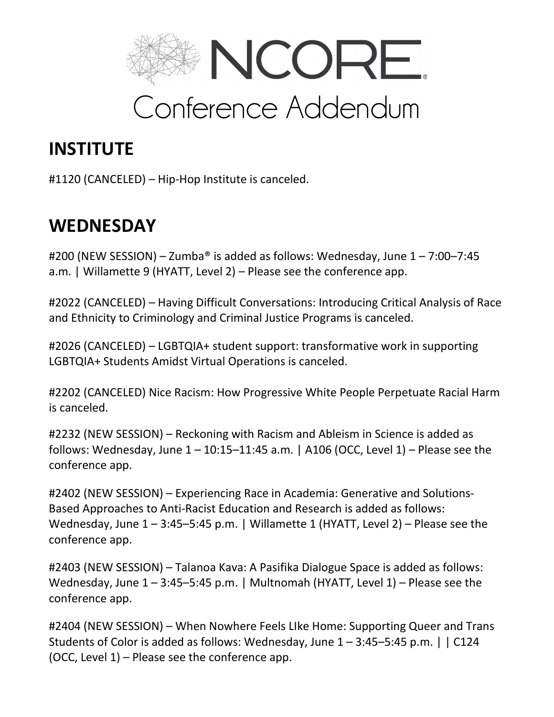

# **INSTITUTE**

#1120 (CANCELED) – Hip-Hop Institute is canceled.

# **WEDNESDAY**

#200 (NEW SESSION) – Zumba® is added as follows: Wednesday, June 1 – 7:00–7:45 a.m. | Willamette 9 (HYATT, Level 2) – Please see the conference app.

#2022 (CANCELED) – Having Difficult Conversations: Introducing Critical Analysis of Race and Ethnicity to Criminology and Criminal Justice Programs is canceled.

#2026 (CANCELED) – LGBTQIA+ student support: transformative work in supporting LGBTQIA+ Students Amidst Virtual Operations is canceled.

#2202 (CANCELED) Nice Racism: How Progressive White People Perpetuate Racial Harm is canceled.

#2232 (NEW SESSION) – Reckoning with Racism and Ableism in Science is added as follows: Wednesday, June  $1 - 10:15 - 11:45$  a.m. | A106 (OCC, Level 1) – Please see the conference app.

#2402 (NEW SESSION) – Experiencing Race in Academia: Generative and Solutions-Based Approaches to Anti-Racist Education and Research is added as follows: Wednesday, June  $1 - 3:45 - 5:45$  p.m. | Willamette 1 (HYATT, Level 2) – Please see the conference app.

#2403 (NEW SESSION) – Talanoa Kava: A Pasifika Dialogue Space is added as follows: Wednesday, June  $1 - 3:45 - 5:45$  p.m. | Multnomah (HYATT, Level 1) – Please see the conference app.

#2404 (NEW SESSION) – When Nowhere Feels LIke Home: Supporting Queer and Trans Students of Color is added as follows: Wednesday, June 1 – 3:45–5:45 p.m. | | C124 (OCC, Level 1) – Please see the conference app.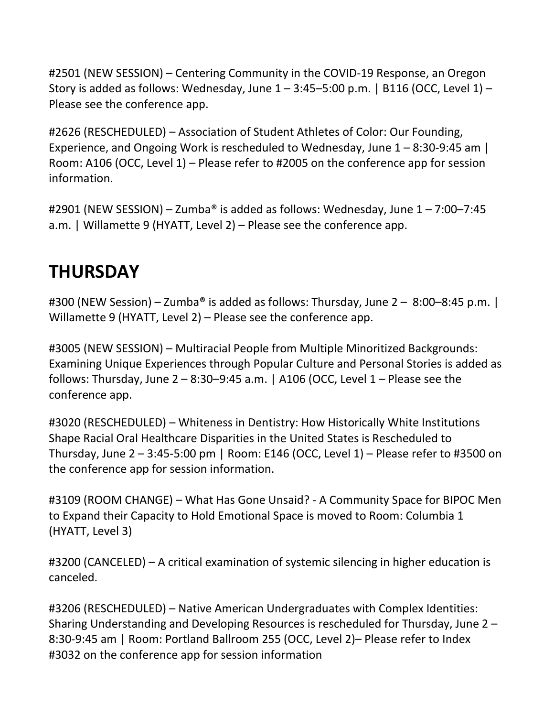#2501 (NEW SESSION) – Centering Community in the COVID-19 Response, an Oregon Story is added as follows: Wednesday, June  $1 - 3:45 - 5:00$  p.m. | B116 (OCC, Level 1) – Please see the conference app.

#2626 (RESCHEDULED) – Association of Student Athletes of Color: Our Founding, Experience, and Ongoing Work is rescheduled to Wednesday, June 1 – 8:30-9:45 am | Room: A106 (OCC, Level 1) – Please refer to #2005 on the conference app for session information.

#2901 (NEW SESSION) – Zumba® is added as follows: Wednesday, June 1 – 7:00–7:45 a.m. | Willamette 9 (HYATT, Level 2) – Please see the conference app.

# **THURSDAY**

#300 (NEW Session) – Zumba<sup>®</sup> is added as follows: Thursday, June 2 – 8:00–8:45 p.m.  $\vert$ Willamette 9 (HYATT, Level 2) – Please see the conference app.

#3005 (NEW SESSION) – Multiracial People from Multiple Minoritized Backgrounds: Examining Unique Experiences through Popular Culture and Personal Stories is added as follows: Thursday, June  $2 - 8:30 - 9:45$  a.m. | A106 (OCC, Level  $1 -$  Please see the conference app.

#3020 (RESCHEDULED) – Whiteness in Dentistry: How Historically White Institutions Shape Racial Oral Healthcare Disparities in the United States is Rescheduled to Thursday, June  $2 - 3:45-5:00$  pm | Room: E146 (OCC, Level 1) – Please refer to #3500 on the conference app for session information.

#3109 (ROOM CHANGE) – What Has Gone Unsaid? - A Community Space for BIPOC Men to Expand their Capacity to Hold Emotional Space is moved to Room: Columbia 1 (HYATT, Level 3)

#3200 (CANCELED) – A critical examination of systemic silencing in higher education is canceled.

#3206 (RESCHEDULED) – Native American Undergraduates with Complex Identities: Sharing Understanding and Developing Resources is rescheduled for Thursday, June 2 – 8:30-9:45 am | Room: Portland Ballroom 255 (OCC, Level 2)– Please refer to Index #3032 on the conference app for session information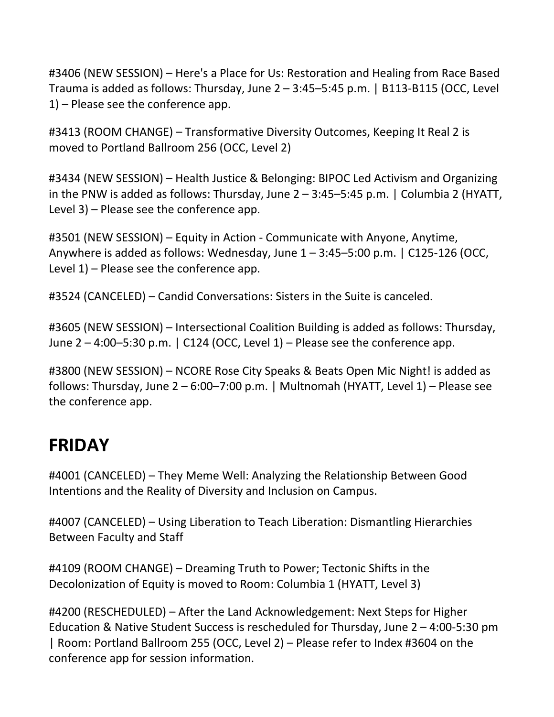#3406 (NEW SESSION) – Here's a Place for Us: Restoration and Healing from Race Based Trauma is added as follows: Thursday, June 2 – 3:45–5:45 p.m. | B113-B115 (OCC, Level 1) – Please see the conference app.

#3413 (ROOM CHANGE) – Transformative Diversity Outcomes, Keeping It Real 2 is moved to Portland Ballroom 256 (OCC, Level 2)

#3434 (NEW SESSION) – Health Justice & Belonging: BIPOC Led Activism and Organizing in the PNW is added as follows: Thursday, June  $2 - 3:45 - 5:45$  p.m. | Columbia 2 (HYATT, Level 3) – Please see the conference app.

#3501 (NEW SESSION) – Equity in Action - Communicate with Anyone, Anytime, Anywhere is added as follows: Wednesday, June  $1 - 3:45 - 5:00$  p.m.  $\mid$  C125-126 (OCC, Level 1) – Please see the conference app.

#3524 (CANCELED) – Candid Conversations: Sisters in the Suite is canceled.

#3605 (NEW SESSION) – Intersectional Coalition Building is added as follows: Thursday, June  $2 - 4:00 - 5:30$  p.m.  $\vert$  C124 (OCC, Level 1) – Please see the conference app.

#3800 (NEW SESSION) – NCORE Rose City Speaks & Beats Open Mic Night! is added as follows: Thursday, June 2 – 6:00–7:00 p.m. | Multnomah (HYATT, Level 1) – Please see the conference app.

## **FRIDAY**

#4001 (CANCELED) – They Meme Well: Analyzing the Relationship Between Good Intentions and the Reality of Diversity and Inclusion on Campus.

#4007 (CANCELED) – Using Liberation to Teach Liberation: Dismantling Hierarchies Between Faculty and Staff

#4109 (ROOM CHANGE) – Dreaming Truth to Power; Tectonic Shifts in the Decolonization of Equity is moved to Room: Columbia 1 (HYATT, Level 3)

#4200 (RESCHEDULED) – After the Land Acknowledgement: Next Steps for Higher Education & Native Student Success is rescheduled for Thursday, June 2 – 4:00-5:30 pm | Room: Portland Ballroom 255 (OCC, Level 2) – Please refer to Index #3604 on the conference app for session information.